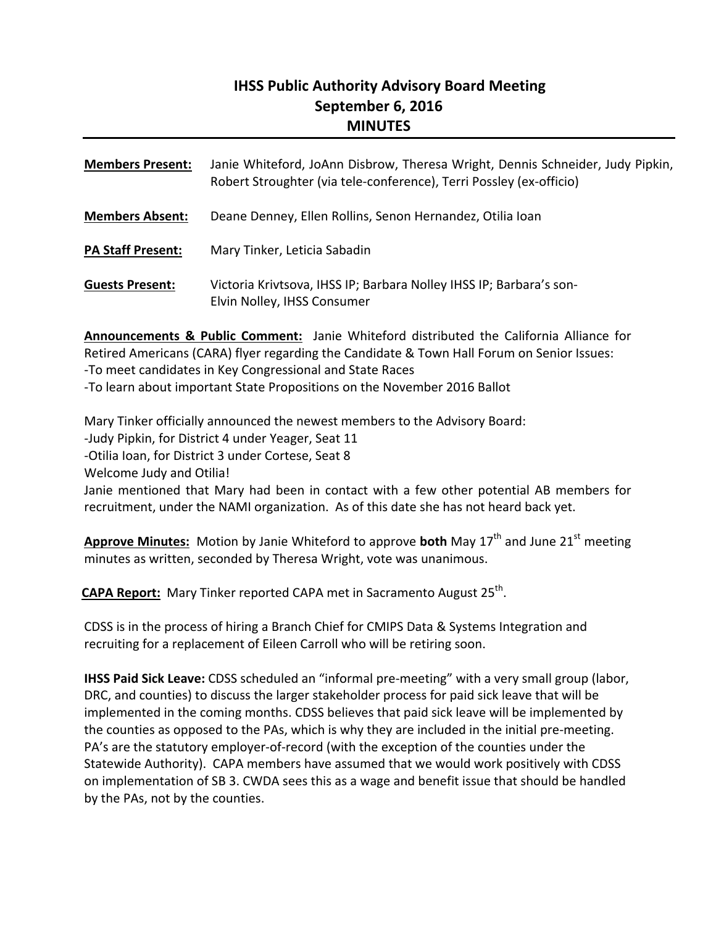## **IHSS Public Authority Advisory Board Meeting September 6, 2016 MINUTES**

| <b>Members Present:</b>  | Janie Whiteford, JoAnn Disbrow, Theresa Wright, Dennis Schneider, Judy Pipkin,<br>Robert Stroughter (via tele-conference), Terri Possley (ex-officio) |
|--------------------------|-------------------------------------------------------------------------------------------------------------------------------------------------------|
| <b>Members Absent:</b>   | Deane Denney, Ellen Rollins, Senon Hernandez, Otilia Ioan                                                                                             |
| <b>PA Staff Present:</b> | Mary Tinker, Leticia Sabadin                                                                                                                          |
| <b>Guests Present:</b>   | Victoria Krivtsova, IHSS IP; Barbara Nolley IHSS IP; Barbara's son-<br>Elvin Nolley, IHSS Consumer                                                    |

**Announcements & Public Comment:** Janie Whiteford distributed the California Alliance for Retired Americans (CARA) flyer regarding the Candidate & Town Hall Forum on Senior Issues: ‐To meet candidates in Key Congressional and State Races

‐To learn about important State Propositions on the November 2016 Ballot

Mary Tinker officially announced the newest members to the Advisory Board:

‐Judy Pipkin, for District 4 under Yeager, Seat 11

‐Otilia Ioan, for District 3 under Cortese, Seat 8

Welcome Judy and Otilia!

Janie mentioned that Mary had been in contact with a few other potential AB members for recruitment, under the NAMI organization. As of this date she has not heard back yet.

**Approve Minutes:** Motion by Janie Whiteford to approve **both** May 17<sup>th</sup> and June 21<sup>st</sup> meeting minutes as written, seconded by Theresa Wright, vote was unanimous.

**CAPA Report:** Mary Tinker reported CAPA met in Sacramento August 25<sup>th</sup>.

CDSS is in the process of hiring a Branch Chief for CMIPS Data & Systems Integration and recruiting for a replacement of Eileen Carroll who will be retiring soon.

**IHSS Paid Sick Leave:** CDSS scheduled an "informal pre‐meeting" with a very small group (labor, DRC, and counties) to discuss the larger stakeholder process for paid sick leave that will be implemented in the coming months. CDSS believes that paid sick leave will be implemented by the counties as opposed to the PAs, which is why they are included in the initial pre‐meeting. PA's are the statutory employer‐of‐record (with the exception of the counties under the Statewide Authority). CAPA members have assumed that we would work positively with CDSS on implementation of SB 3. CWDA sees this as a wage and benefit issue that should be handled by the PAs, not by the counties.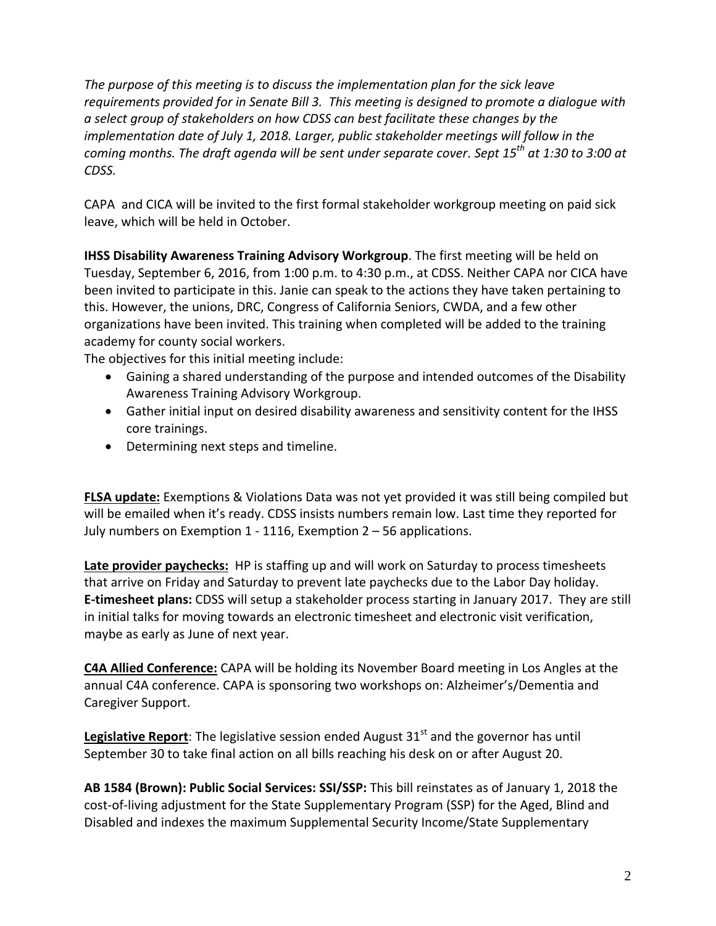*The purpose of this meeting is to discuss the implementation plan for the sick leave requirements provided for in Senate Bill 3. This meeting is designed to promote a dialogue with a select group of stakeholders on how CDSS can best facilitate these changes by the implementation date of July 1, 2018. Larger, public stakeholder meetings will follow in the coming months. The draft agenda will be sent under separate cover*. *Sept 15th at 1:30 to 3:00 at CDSS.*

CAPA and CICA will be invited to the first formal stakeholder workgroup meeting on paid sick leave, which will be held in October.

**IHSS Disability Awareness Training Advisory Workgroup**. The first meeting will be held on Tuesday, September 6, 2016, from 1:00 p.m. to 4:30 p.m., at CDSS. Neither CAPA nor CICA have been invited to participate in this. Janie can speak to the actions they have taken pertaining to this. However, the unions, DRC, Congress of California Seniors, CWDA, and a few other organizations have been invited. This training when completed will be added to the training academy for county social workers.

The objectives for this initial meeting include:

- Gaining a shared understanding of the purpose and intended outcomes of the Disability Awareness Training Advisory Workgroup.
- Gather initial input on desired disability awareness and sensitivity content for the IHSS core trainings.
- Determining next steps and timeline.

**FLSA update:** Exemptions & Violations Data was not yet provided it was still being compiled but will be emailed when it's ready. CDSS insists numbers remain low. Last time they reported for July numbers on Exemption 1 ‐ 1116, Exemption 2 – 56 applications.

**Late provider paychecks:** HP is staffing up and will work on Saturday to process timesheets that arrive on Friday and Saturday to prevent late paychecks due to the Labor Day holiday. **E‐timesheet plans:** CDSS will setup a stakeholder process starting in January 2017. They are still in initial talks for moving towards an electronic timesheet and electronic visit verification, maybe as early as June of next year.

**C4A Allied Conference:** CAPA will be holding its November Board meeting in Los Angles at the annual C4A conference. CAPA is sponsoring two workshops on: Alzheimer's/Dementia and Caregiver Support.

**Legislative Report:** The legislative session ended August 31<sup>st</sup> and the governor has until September 30 to take final action on all bills reaching his desk on or after August 20.

**AB 1584 (Brown): Public Social Services: SSI/SSP:** This bill reinstates as of January 1, 2018 the cost-of-living adjustment for the State Supplementary Program (SSP) for the Aged, Blind and Disabled and indexes the maximum Supplemental Security Income/State Supplementary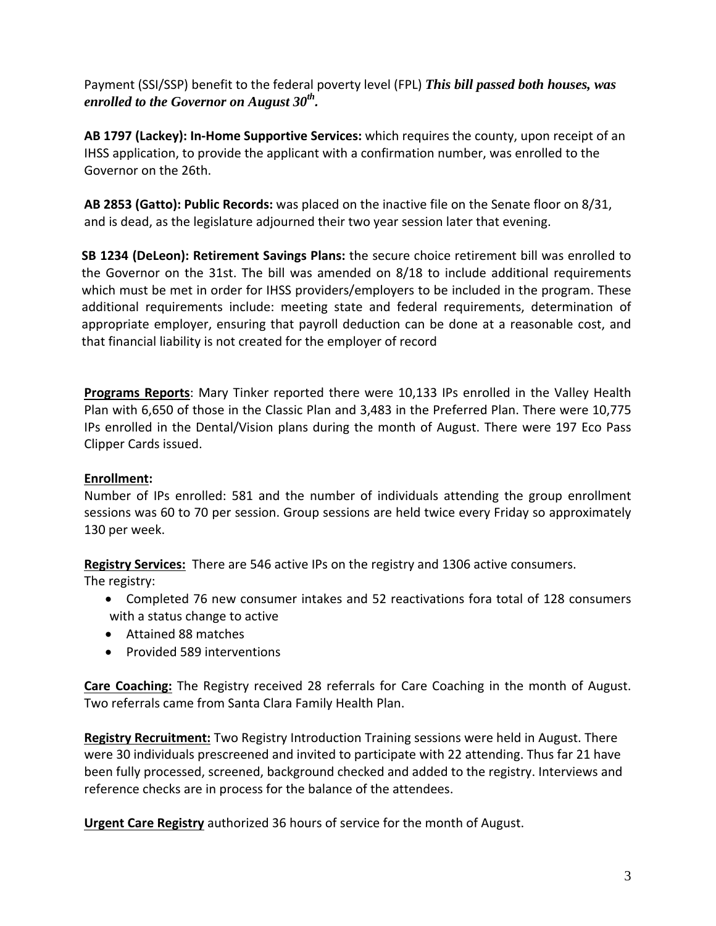Payment (SSI/SSP) benefit to the federal poverty level (FPL) *This bill passed both houses, was enrolled to the Governor on August 30th.*

**AB 1797 (Lackey): In‐Home Supportive Services:** which requires the county, upon receipt of an IHSS application, to provide the applicant with a confirmation number, was enrolled to the Governor on the 26th.

**AB 2853 (Gatto): Public Records:** was placed on the inactive file on the Senate floor on 8/31, and is dead, as the legislature adjourned their two year session later that evening.

**SB 1234 (DeLeon): Retirement Savings Plans:** the secure choice retirement bill was enrolled to the Governor on the 31st. The bill was amended on 8/18 to include additional requirements which must be met in order for IHSS providers/employers to be included in the program. These additional requirements include: meeting state and federal requirements, determination of appropriate employer, ensuring that payroll deduction can be done at a reasonable cost, and that financial liability is not created for the employer of record

**Programs Reports**: Mary Tinker reported there were 10,133 IPs enrolled in the Valley Health Plan with 6,650 of those in the Classic Plan and 3,483 in the Preferred Plan. There were 10,775 IPs enrolled in the Dental/Vision plans during the month of August. There were 197 Eco Pass Clipper Cards issued.

## **Enrollment:**

Number of IPs enrolled: 581 and the number of individuals attending the group enrollment sessions was 60 to 70 per session. Group sessions are held twice every Friday so approximately 130 per week.

**Registry Services:** There are 546 active IPs on the registry and 1306 active consumers.

The registry:

- Completed 76 new consumer intakes and 52 reactivations fora total of 128 consumers with a status change to active
- Attained 88 matches
- Provided 589 interventions

**Care Coaching:** The Registry received 28 referrals for Care Coaching in the month of August. Two referrals came from Santa Clara Family Health Plan.

**Registry Recruitment:** Two Registry Introduction Training sessions were held in August. There were 30 individuals prescreened and invited to participate with 22 attending. Thus far 21 have been fully processed, screened, background checked and added to the registry. Interviews and reference checks are in process for the balance of the attendees.

**Urgent Care Registry** authorized 36 hours of service for the month of August.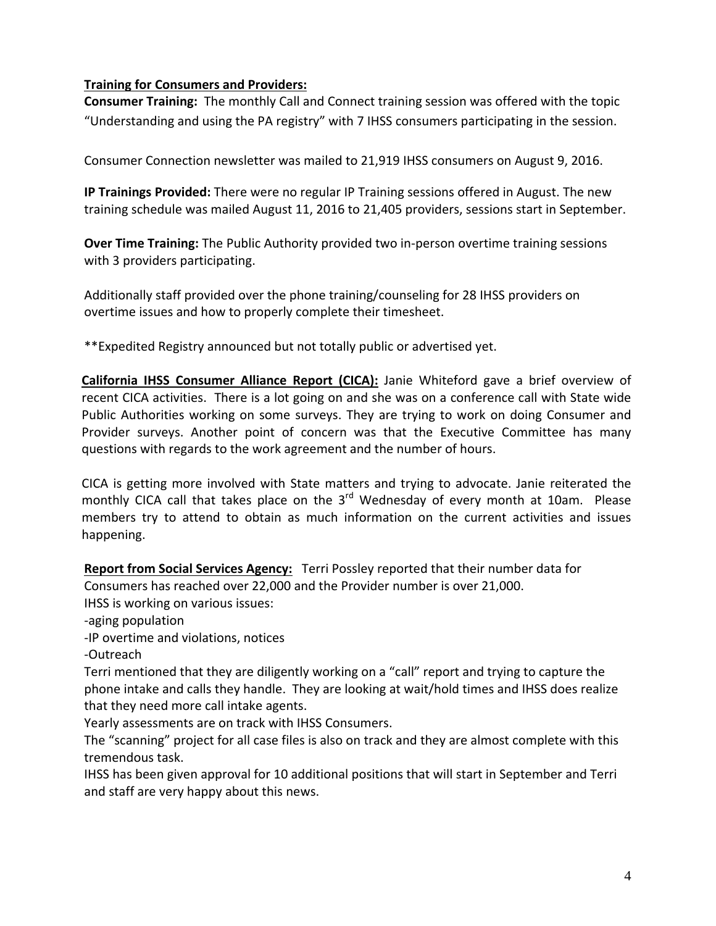## **Training for Consumers and Providers:**

**Consumer Training:** The monthly Call and Connect training session was offered with the topic "Understanding and using the PA registry" with 7 IHSS consumers participating in the session.

Consumer Connection newsletter was mailed to 21,919 IHSS consumers on August 9, 2016.

**IP Trainings Provided:** There were no regular IP Training sessions offered in August. The new training schedule was mailed August 11, 2016 to 21,405 providers, sessions start in September.

**Over Time Training:** The Public Authority provided two in‐person overtime training sessions with 3 providers participating.

Additionally staff provided over the phone training/counseling for 28 IHSS providers on overtime issues and how to properly complete their timesheet.

\*\*Expedited Registry announced but not totally public or advertised yet.

**California IHSS Consumer Alliance Report (CICA):** Janie Whiteford gave a brief overview of recent CICA activities. There is a lot going on and she was on a conference call with State wide Public Authorities working on some surveys. They are trying to work on doing Consumer and Provider surveys. Another point of concern was that the Executive Committee has many questions with regards to the work agreement and the number of hours.

CICA is getting more involved with State matters and trying to advocate. Janie reiterated the monthly CICA call that takes place on the  $3<sup>rd</sup>$  Wednesday of every month at 10am. Please members try to attend to obtain as much information on the current activities and issues happening.

**Report from Social Services Agency:** Terri Possley reported that their number data for Consumers has reached over 22,000 and the Provider number is over 21,000.

IHSS is working on various issues:

‐aging population

‐IP overtime and violations, notices

‐Outreach

Terri mentioned that they are diligently working on a "call" report and trying to capture the phone intake and calls they handle. They are looking at wait/hold times and IHSS does realize that they need more call intake agents.

Yearly assessments are on track with IHSS Consumers.

The "scanning" project for all case files is also on track and they are almost complete with this tremendous task.

IHSS has been given approval for 10 additional positions that will start in September and Terri and staff are very happy about this news.